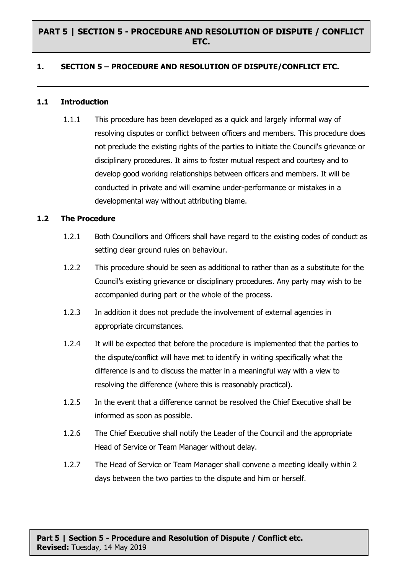## **PART 5 | SECTION 5 - PROCEDURE AND RESOLUTION OF DISPUTE / CONFLICT ETC.**

### **1. SECTION 5 – PROCEDURE AND RESOLUTION OF DISPUTE/CONFLICT ETC.**

#### **1.1 Introduction**

1.1.1 This procedure has been developed as a quick and largely informal way of resolving disputes or conflict between officers and members. This procedure does not preclude the existing rights of the parties to initiate the Council's grievance or disciplinary procedures. It aims to foster mutual respect and courtesy and to develop good working relationships between officers and members. It will be conducted in private and will examine under-performance or mistakes in a developmental way without attributing blame.

#### **1.2 The Procedure**

- 1.2.1 Both Councillors and Officers shall have regard to the existing codes of conduct as setting clear ground rules on behaviour.
- 1.2.2 This procedure should be seen as additional to rather than as a substitute for the Council's existing grievance or disciplinary procedures. Any party may wish to be accompanied during part or the whole of the process.
- 1.2.3 In addition it does not preclude the involvement of external agencies in appropriate circumstances.
- 1.2.4 It will be expected that before the procedure is implemented that the parties to the dispute/conflict will have met to identify in writing specifically what the difference is and to discuss the matter in a meaningful way with a view to resolving the difference (where this is reasonably practical).
- 1.2.5 In the event that a difference cannot be resolved the Chief Executive shall be informed as soon as possible.
- 1.2.6 The Chief Executive shall notify the Leader of the Council and the appropriate Head of Service or Team Manager without delay.
- 1.2.7 The Head of Service or Team Manager shall convene a meeting ideally within 2 days between the two parties to the dispute and him or herself.